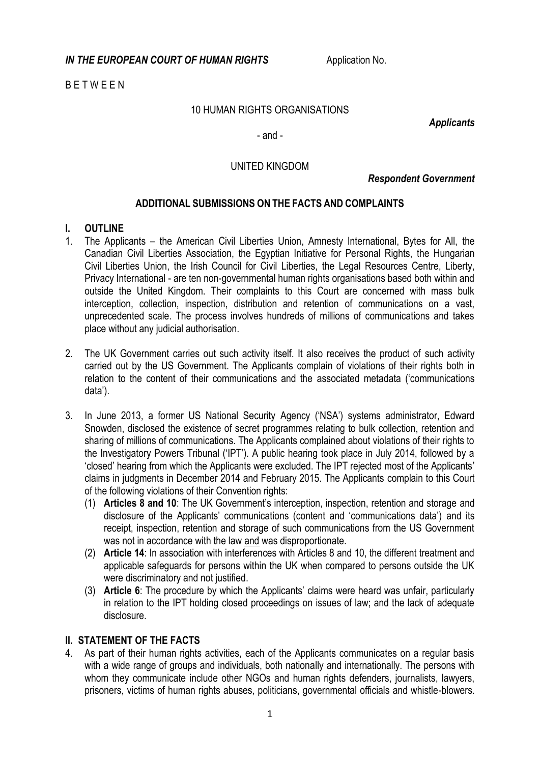# **BETWEEN**

### 10 HUMAN RIGHTS ORGANISATIONS

*Applicants*

- and -

#### UNITED KINGDOM

*Respondent Government*

### **ADDITIONAL SUBMISSIONS ON THE FACTS AND COMPLAINTS**

## **I. OUTLINE**

- 1. The Applicants the American Civil Liberties Union, Amnesty International, Bytes for All, the Canadian Civil Liberties Association, the Egyptian Initiative for Personal Rights, the Hungarian Civil Liberties Union, the Irish Council for Civil Liberties, the Legal Resources Centre, Liberty, Privacy International - are ten non-governmental human rights organisations based both within and outside the United Kingdom. Their complaints to this Court are concerned with mass bulk interception, collection, inspection, distribution and retention of communications on a vast, unprecedented scale. The process involves hundreds of millions of communications and takes place without any judicial authorisation.
- 2. The UK Government carries out such activity itself. It also receives the product of such activity carried out by the US Government. The Applicants complain of violations of their rights both in relation to the content of their communications and the associated metadata ('communications data').
- 3. In June 2013, a former US National Security Agency ('NSA') systems administrator, Edward Snowden, disclosed the existence of secret programmes relating to bulk collection, retention and sharing of millions of communications. The Applicants complained about violations of their rights to the Investigatory Powers Tribunal ('IPT'). A public hearing took place in July 2014, followed by a 'closed' hearing from which the Applicants were excluded. The IPT rejected most of the Applicants' claims in judgments in December 2014 and February 2015. The Applicants complain to this Court of the following violations of their Convention rights:
	- (1) **Articles 8 and 10**: The UK Government's interception, inspection, retention and storage and disclosure of the Applicants' communications (content and 'communications data') and its receipt, inspection, retention and storage of such communications from the US Government was not in accordance with the law and was disproportionate.
	- (2) **Article 14**: In association with interferences with Articles 8 and 10, the different treatment and applicable safeguards for persons within the UK when compared to persons outside the UK were discriminatory and not justified.
	- (3) **Article 6**: The procedure by which the Applicants' claims were heard was unfair, particularly in relation to the IPT holding closed proceedings on issues of law; and the lack of adequate disclosure.

### **II. STATEMENT OF THE FACTS**

4. As part of their human rights activities, each of the Applicants communicates on a regular basis with a wide range of groups and individuals, both nationally and internationally. The persons with whom they communicate include other NGOs and human rights defenders, journalists, lawyers, prisoners, victims of human rights abuses, politicians, governmental officials and whistle-blowers.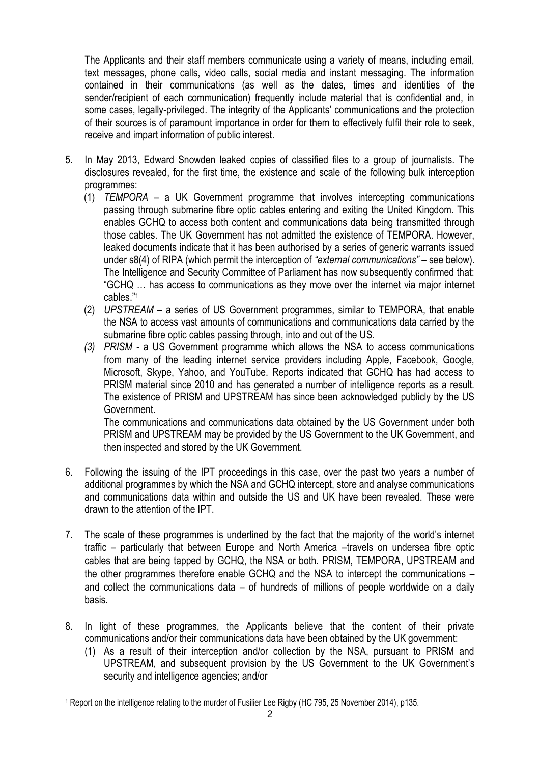The Applicants and their staff members communicate using a variety of means, including email, text messages, phone calls, video calls, social media and instant messaging. The information contained in their communications (as well as the dates, times and identities of the sender/recipient of each communication) frequently include material that is confidential and, in some cases, legally-privileged. The integrity of the Applicants' communications and the protection of their sources is of paramount importance in order for them to effectively fulfil their role to seek, receive and impart information of public interest.

- 5. In May 2013, Edward Snowden leaked copies of classified files to a group of journalists. The disclosures revealed, for the first time, the existence and scale of the following bulk interception programmes:
	- (1) *TEMPORA –* a UK Government programme that involves intercepting communications passing through submarine fibre optic cables entering and exiting the United Kingdom. This enables GCHQ to access both content and communications data being transmitted through those cables. The UK Government has not admitted the existence of TEMPORA. However, leaked documents indicate that it has been authorised by a series of generic warrants issued under s8(4) of RIPA (which permit the interception of *"external communications"* – see below). The Intelligence and Security Committee of Parliament has now subsequently confirmed that: "GCHQ … has access to communications as they move over the internet via major internet cables."<sup>1</sup>
	- (2) *UPSTREAM –* a series of US Government programmes, similar to TEMPORA, that enable the NSA to access vast amounts of communications and communications data carried by the submarine fibre optic cables passing through, into and out of the US.
	- *(3) PRISM -* a US Government programme which allows the NSA to access communications from many of the leading internet service providers including Apple, Facebook, Google, Microsoft, Skype, Yahoo, and YouTube. Reports indicated that GCHQ has had access to PRISM material since 2010 and has generated a number of intelligence reports as a result. The existence of PRISM and UPSTREAM has since been acknowledged publicly by the US Government.

The communications and communications data obtained by the US Government under both PRISM and UPSTREAM may be provided by the US Government to the UK Government, and then inspected and stored by the UK Government.

- 6. Following the issuing of the IPT proceedings in this case, over the past two years a number of additional programmes by which the NSA and GCHQ intercept, store and analyse communications and communications data within and outside the US and UK have been revealed. These were drawn to the attention of the IPT.
- 7. The scale of these programmes is underlined by the fact that the majority of the world's internet traffic – particularly that between Europe and North America –travels on undersea fibre optic cables that are being tapped by GCHQ, the NSA or both. PRISM, TEMPORA, UPSTREAM and the other programmes therefore enable GCHQ and the NSA to intercept the communications – and collect the communications data – of hundreds of millions of people worldwide on a daily basis.
- 8. In light of these programmes, the Applicants believe that the content of their private communications and/or their communications data have been obtained by the UK government:
	- (1) As a result of their interception and/or collection by the NSA, pursuant to PRISM and UPSTREAM, and subsequent provision by the US Government to the UK Government's security and intelligence agencies; and/or

<sup>1</sup> Report on the intelligence relating to the murder of Fusilier Lee Rigby (HC 795, 25 November 2014), p135.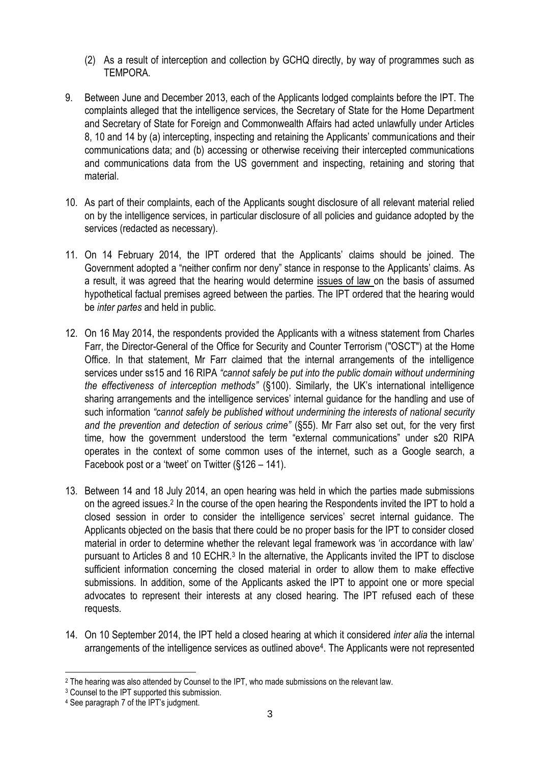- (2) As a result of interception and collection by GCHQ directly, by way of programmes such as TEMPORA.
- 9. Between June and December 2013, each of the Applicants lodged complaints before the IPT. The complaints alleged that the intelligence services, the Secretary of State for the Home Department and Secretary of State for Foreign and Commonwealth Affairs had acted unlawfully under Articles 8, 10 and 14 by (a) intercepting, inspecting and retaining the Applicants' communications and their communications data; and (b) accessing or otherwise receiving their intercepted communications and communications data from the US government and inspecting, retaining and storing that material.
- 10. As part of their complaints, each of the Applicants sought disclosure of all relevant material relied on by the intelligence services, in particular disclosure of all policies and guidance adopted by the services (redacted as necessary).
- 11. On 14 February 2014, the IPT ordered that the Applicants' claims should be joined. The Government adopted a "neither confirm nor deny" stance in response to the Applicants' claims. As a result, it was agreed that the hearing would determine issues of law on the basis of assumed hypothetical factual premises agreed between the parties. The IPT ordered that the hearing would be *inter partes* and held in public.
- 12. On 16 May 2014, the respondents provided the Applicants with a witness statement from Charles Farr, the Director-General of the Office for Security and Counter Terrorism ("OSCT") at the Home Office. In that statement, Mr Farr claimed that the internal arrangements of the intelligence services under ss15 and 16 RIPA *"cannot safely be put into the public domain without undermining the effectiveness of interception methods"* (§100). Similarly, the UK's international intelligence sharing arrangements and the intelligence services' internal guidance for the handling and use of such information "cannot safely be published without undermining the interests of national security *and the prevention and detection of serious crime"* (§55). Mr Farr also set out, for the very first time, how the government understood the term "external communications" under s20 RIPA operates in the context of some common uses of the internet, such as a Google search, a Facebook post or a 'tweet' on Twitter (§126 – 141).
- 13. Between 14 and 18 July 2014, an open hearing was held in which the parties made submissions on the agreed issues.<sup>2</sup> In the course of the open hearing the Respondents invited the IPT to hold a closed session in order to consider the intelligence services' secret internal guidance. The Applicants objected on the basis that there could be no proper basis for the IPT to consider closed material in order to determine whether the relevant legal framework was 'in accordance with law' pursuant to Articles 8 and 10 ECHR.<sup>3</sup> In the alternative, the Applicants invited the IPT to disclose sufficient information concerning the closed material in order to allow them to make effective submissions. In addition, some of the Applicants asked the IPT to appoint one or more special advocates to represent their interests at any closed hearing. The IPT refused each of these requests.
- 14. On 10 September 2014, the IPT held a closed hearing at which it considered *inter alia* the internal arrangements of the intelligence services as outlined above<sup>4</sup>. The Applicants were not represented

 $2$  The hearing was also attended by Counsel to the IPT, who made submissions on the relevant law.

<sup>&</sup>lt;sup>3</sup> Counsel to the IPT supported this submission.

<sup>4</sup> See paragraph 7 of the IPT's judgment.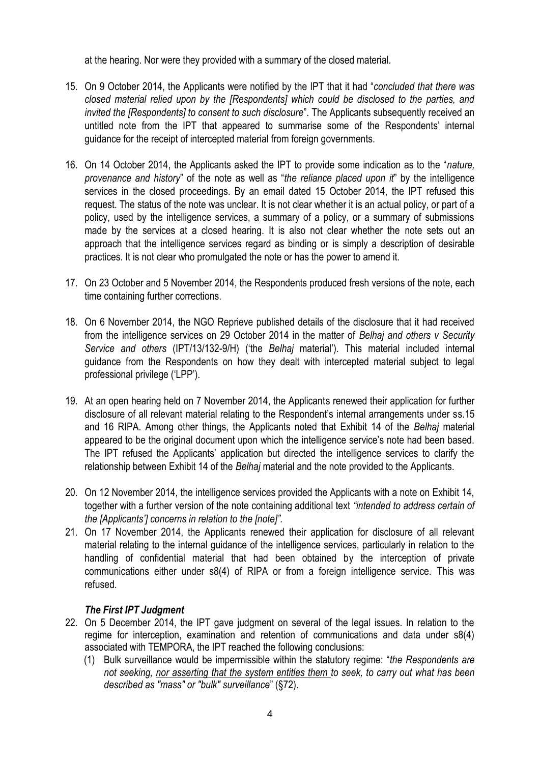at the hearing. Nor were they provided with a summary of the closed material.

- 15. On 9 October 2014, the Applicants were notified by the IPT that it had "*concluded that there was closed material relied upon by the [Respondents] which could be disclosed to the parties, and invited the [Respondents] to consent to such disclosure*". The Applicants subsequently received an untitled note from the IPT that appeared to summarise some of the Respondents' internal guidance for the receipt of intercepted material from foreign governments.
- 16. On 14 October 2014, the Applicants asked the IPT to provide some indication as to the "*nature, provenance and history*" of the note as well as "*the reliance placed upon it*" by the intelligence services in the closed proceedings. By an email dated 15 October 2014, the IPT refused this request. The status of the note was unclear. It is not clear whether it is an actual policy, or part of a policy, used by the intelligence services, a summary of a policy, or a summary of submissions made by the services at a closed hearing. It is also not clear whether the note sets out an approach that the intelligence services regard as binding or is simply a description of desirable practices. It is not clear who promulgated the note or has the power to amend it.
- 17. On 23 October and 5 November 2014, the Respondents produced fresh versions of the note, each time containing further corrections.
- 18. On 6 November 2014, the NGO Reprieve published details of the disclosure that it had received from the intelligence services on 29 October 2014 in the matter of *Belhaj and others v Security Service and others* (IPT/13/132-9/H) ('the *Belhaj* material'). This material included internal guidance from the Respondents on how they dealt with intercepted material subject to legal professional privilege ('LPP').
- 19. At an open hearing held on 7 November 2014, the Applicants renewed their application for further disclosure of all relevant material relating to the Respondent's internal arrangements under ss.15 and 16 RIPA. Among other things, the Applicants noted that Exhibit 14 of the *Belhaj* material appeared to be the original document upon which the intelligence service's note had been based. The IPT refused the Applicants' application but directed the intelligence services to clarify the relationship between Exhibit 14 of the *Belhaj* material and the note provided to the Applicants.
- 20. On 12 November 2014, the intelligence services provided the Applicants with a note on Exhibit 14, together with a further version of the note containing additional text *"intended to address certain of the [Applicants'] concerns in relation to the [note]".*
- 21. On 17 November 2014, the Applicants renewed their application for disclosure of all relevant material relating to the internal guidance of the intelligence services, particularly in relation to the handling of confidential material that had been obtained by the interception of private communications either under s8(4) of RIPA or from a foreign intelligence service. This was refused.

# *The First IPT Judgment*

- 22. On 5 December 2014, the IPT gave judgment on several of the legal issues. In relation to the regime for interception, examination and retention of communications and data under s8(4) associated with TEMPORA, the IPT reached the following conclusions:
	- (1) Bulk surveillance would be impermissible within the statutory regime: "*the Respondents are not seeking, nor asserting that the system entitles them to seek, to carry out what has been described as "mass" or "bulk" surveillance*" (§72).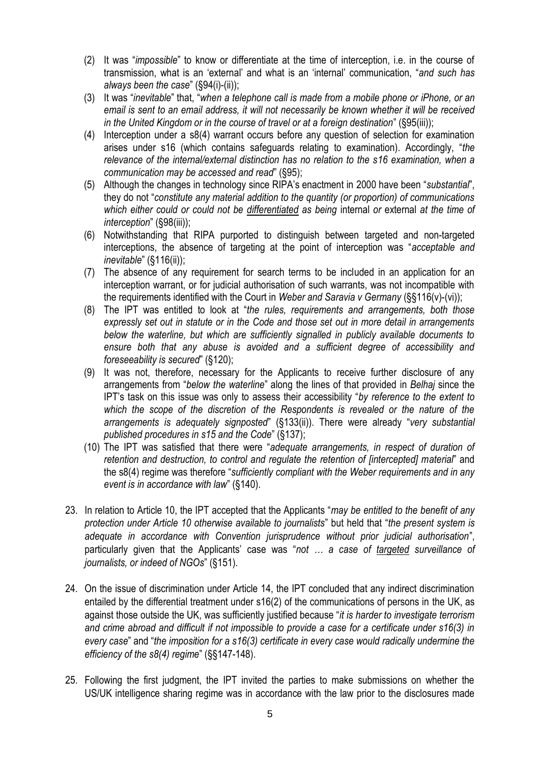- (2) It was "*impossible*" to know or differentiate at the time of interception, i.e. in the course of transmission, what is an 'external' and what is an 'internal' communication, "*and such has always been the case*" (§94(i)-(ii));
- (3) It was "*inevitable*" that, "*when a telephone call is made from a mobile phone or iPhone, or an email is sent to an email address, it will not necessarily be known whether it will be received in the United Kingdom or in the course of travel or at a foreign destination*" (§95(iii));
- (4) Interception under a s8(4) warrant occurs before any question of selection for examination arises under s16 (which contains safeguards relating to examination). Accordingly, "*the relevance of the internal/external distinction has no relation to the s16 examination, when a communication may be accessed and read*" (§95);
- (5) Although the changes in technology since RIPA's enactment in 2000 have been "*substantial*", they do not "*constitute any material addition to the quantity (or proportion) of communications which either could or could not be differentiated as being* internal *or* external *at the time of interception*" (§98(iii));
- (6) Notwithstanding that RIPA purported to distinguish between targeted and non-targeted interceptions, the absence of targeting at the point of interception was "*acceptable and inevitable*" (§116(ii));
- (7) The absence of any requirement for search terms to be included in an application for an interception warrant, or for judicial authorisation of such warrants, was not incompatible with the requirements identified with the Court in *Weber and Saravia v Germany* (§§116(v)-(vi));
- (8) The IPT was entitled to look at "*the rules, requirements and arrangements, both those expressly set out in statute or in the Code and those set out in more detail in arrangements below the waterline, but which are sufficiently signalled in publicly available documents to ensure both that any abuse is avoided and a sufficient degree of accessibility and foreseeability is secured*" (§120);
- (9) It was not, therefore, necessary for the Applicants to receive further disclosure of any arrangements from "*below the waterline*" along the lines of that provided in *Belhaj* since the IPT's task on this issue was only to assess their accessibility "*by reference to the extent to*  which the scope of the discretion of the Respondents is revealed or the nature of the *arrangements is adequately signposted*" (§133(ii)). There were already "*very substantial published procedures in s15 and the Code*" (§137);
- (10) The IPT was satisfied that there were "*adequate arrangements, in respect of duration of retention and destruction, to control and regulate the retention of [intercepted] material*" and the s8(4) regime was therefore "*sufficiently compliant with the Weber requirements and in any event is in accordance with law*" (§140).
- 23. In relation to Article 10, the IPT accepted that the Applicants "*may be entitled to the benefit of any protection under Article 10 otherwise available to journalists*" but held that "*the present system is adequate in accordance with Convention jurisprudence without prior judicial authorisation*", particularly given that the Applicants' case was "*not … a case of targeted surveillance of journalists, or indeed of NGOs*" (§151).
- 24. On the issue of discrimination under Article 14, the IPT concluded that any indirect discrimination entailed by the differential treatment under s16(2) of the communications of persons in the UK, as against those outside the UK, was sufficiently justified because "*it is harder to investigate terrorism and crime abroad and difficult if not impossible to provide a case for a certificate under s16(3) in every case*" and "*the imposition for a s16(3) certificate in every case would radically undermine the efficiency of the s8(4) regime*" (§§147-148).
- 25. Following the first judgment, the IPT invited the parties to make submissions on whether the US/UK intelligence sharing regime was in accordance with the law prior to the disclosures made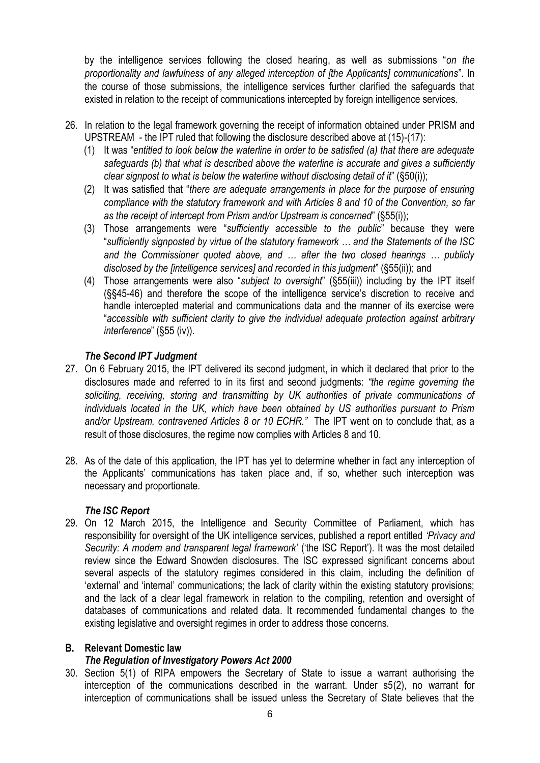by the intelligence services following the closed hearing, as well as submissions "*on the proportionality and lawfulness of any alleged interception of [the Applicants] communications*". In the course of those submissions, the intelligence services further clarified the safeguards that existed in relation to the receipt of communications intercepted by foreign intelligence services.

- 26. In relation to the legal framework governing the receipt of information obtained under PRISM and UPSTREAM - the IPT ruled that following the disclosure described above at (15)-(17):
	- (1) It was "*entitled to look below the waterline in order to be satisfied (a) that there are adequate safeguards (b) that what is described above the waterline is accurate and gives a sufficiently clear signpost to what is below the waterline without disclosing detail of it*" (§50(i));
	- (2) It was satisfied that "*there are adequate arrangements in place for the purpose of ensuring compliance with the statutory framework and with Articles 8 and 10 of the Convention, so far as the receipt of intercept from Prism and/or Upstream is concerned*" (§55(i));
	- (3) Those arrangements were "*sufficiently accessible to the public*" because they were "*sufficiently signposted by virtue of the statutory framework … and the Statements of the ISC and the Commissioner quoted above, and … after the two closed hearings … publicly disclosed by the [intelligence services] and recorded in this judgment*" (§55(ii)); and
	- (4) Those arrangements were also "*subject to oversight*" (§55(iii)) including by the IPT itself (§§45-46) and therefore the scope of the intelligence service's discretion to receive and handle intercepted material and communications data and the manner of its exercise were "*accessible with sufficient clarity to give the individual adequate protection against arbitrary interference*" (§55 (iv)).

## *The Second IPT Judgment*

- 27. On 6 February 2015, the IPT delivered its second judgment, in which it declared that prior to the disclosures made and referred to in its first and second judgments: *"the regime governing the soliciting, receiving, storing and transmitting by UK authorities of private communications of individuals located in the UK, which have been obtained by US authorities pursuant to Prism and/or Upstream, contravened Articles 8 or 10 ECHR."* The IPT went on to conclude that, as a result of those disclosures, the regime now complies with Articles 8 and 10.
- 28. As of the date of this application, the IPT has yet to determine whether in fact any interception of the Applicants' communications has taken place and, if so, whether such interception was necessary and proportionate.

#### *The ISC Report*

29. On 12 March 2015, the Intelligence and Security Committee of Parliament, which has responsibility for oversight of the UK intelligence services, published a report entitled *'Privacy and*  Security: A modern and transparent legal framework' ('the ISC Report'). It was the most detailed review since the Edward Snowden disclosures. The ISC expressed significant concerns about several aspects of the statutory regimes considered in this claim, including the definition of 'external' and 'internal' communications; the lack of clarity within the existing statutory provisions; and the lack of a clear legal framework in relation to the compiling, retention and oversight of databases of communications and related data. It recommended fundamental changes to the existing legislative and oversight regimes in order to address those concerns.

### **B. Relevant Domestic law**

### *The Regulation of Investigatory Powers Act 2000*

30. Section 5(1) of RIPA empowers the Secretary of State to issue a warrant authorising the interception of the communications described in the warrant. Under s5(2), no warrant for interception of communications shall be issued unless the Secretary of State believes that the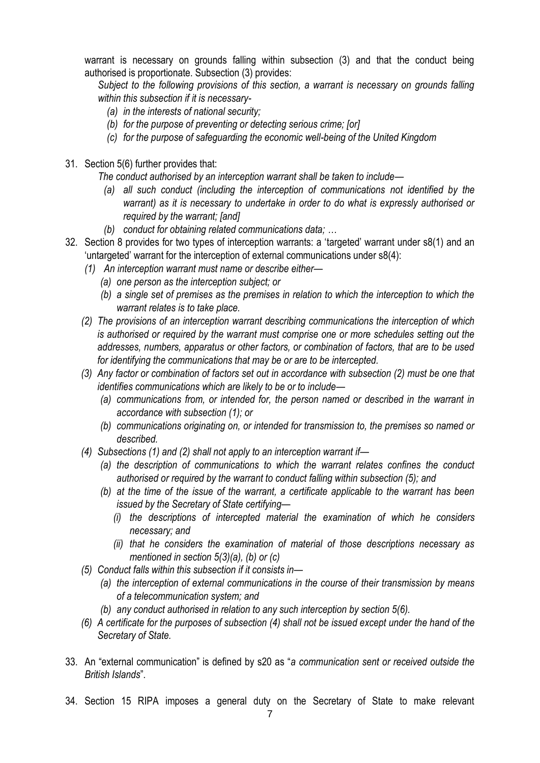warrant is necessary on grounds falling within subsection (3) and that the conduct being authorised is proportionate. Subsection (3) provides:

*Subject to the following provisions of this section, a warrant is necessary on grounds falling within this subsection if it is necessary-*

- *(a) in the interests of national security;*
- *(b) for the purpose of preventing or detecting serious crime; [or]*
- *(c) for the purpose of safeguarding the economic well-being of the United Kingdom*
- 31. Section 5(6) further provides that:

*The conduct authorised by an interception warrant shall be taken to include—*

- *(a) all such conduct (including the interception of communications not identified by the warrant) as it is necessary to undertake in order to do what is expressly authorised or required by the warrant; [and]*
- *(b) conduct for obtaining related communications data; …*
- 32. Section 8 provides for two types of interception warrants: a 'targeted' warrant under s8(1) and an 'untargeted' warrant for the interception of external communications under s8(4):
	- *(1) An interception warrant must name or describe either—*
		- *(a) one person as the interception subject; or*
		- *(b) a single set of premises as the premises in relation to which the interception to which the warrant relates is to take place.*
	- *(2) The provisions of an interception warrant describing communications the interception of which is authorised or required by the warrant must comprise one or more schedules setting out the addresses, numbers, apparatus or other factors, or combination of factors, that are to be used for identifying the communications that may be or are to be intercepted.*
	- *(3) Any factor or combination of factors set out in accordance with subsection (2) must be one that identifies communications which are likely to be or to include—*
		- *(a) communications from, or intended for, the person named or described in the warrant in accordance with subsection (1); or*
		- *(b) communications originating on, or intended for transmission to, the premises so named or described.*
	- *(4) Subsections (1) and (2) shall not apply to an interception warrant if—*
		- *(a) the description of communications to which the warrant relates confines the conduct authorised or required by the warrant to conduct falling within subsection (5); and*
		- *(b) at the time of the issue of the warrant, a certificate applicable to the warrant has been issued by the Secretary of State certifying—*
			- *(i) the descriptions of intercepted material the examination of which he considers necessary; and*
			- *(ii) that he considers the examination of material of those descriptions necessary as mentioned in section 5(3)(a), (b) or (c)*
	- *(5) Conduct falls within this subsection if it consists in—*
		- *(a) the interception of external communications in the course of their transmission by means of a telecommunication system; and*
		- *(b) any conduct authorised in relation to any such interception by section 5(6).*
	- *(6) A certificate for the purposes of subsection (4) shall not be issued except under the hand of the Secretary of State.*
- 33. An "external communication" is defined by s20 as "*a communication sent or received outside the British Islands*".
- 34. Section 15 RIPA imposes a general duty on the Secretary of State to make relevant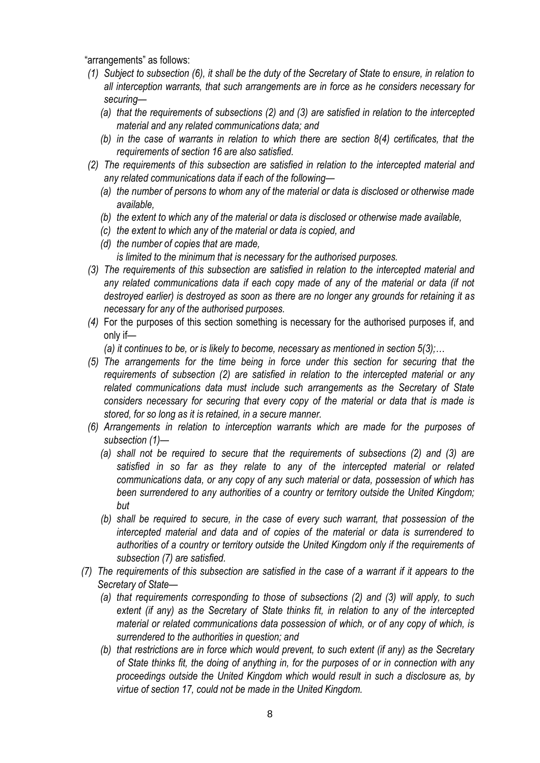"arrangements" as follows:

- *(1) Subject to subsection (6), it shall be the duty of the Secretary of State to ensure, in relation to all interception warrants, that such arrangements are in force as he considers necessary for securing—*
	- *(a) that the requirements of subsections (2) and (3) are satisfied in relation to the intercepted material and any related communications data; and*
	- *(b) in the case of warrants in relation to which there are section 8(4) certificates, that the requirements of section 16 are also satisfied.*
- *(2) The requirements of this subsection are satisfied in relation to the intercepted material and any related communications data if each of the following—*
	- *(a) the number of persons to whom any of the material or data is disclosed or otherwise made available,*
	- *(b) the extent to which any of the material or data is disclosed or otherwise made available,*
	- *(c) the extent to which any of the material or data is copied, and*
	- *(d) the number of copies that are made, is limited to the minimum that is necessary for the authorised purposes.*
- *(3) The requirements of this subsection are satisfied in relation to the intercepted material and any related communications data if each copy made of any of the material or data (if not destroyed earlier) is destroyed as soon as there are no longer any grounds for retaining it as necessary for any of the authorised purposes.*
- *(4)* For the purposes of this section something is necessary for the authorised purposes if, and only if—

*(a) it continues to be, or is likely to become, necessary as mentioned in section 5(3);…*

- *(5) The arrangements for the time being in force under this section for securing that the requirements of subsection (2) are satisfied in relation to the intercepted material or any related communications data must include such arrangements as the Secretary of State considers necessary for securing that every copy of the material or data that is made is stored, for so long as it is retained, in a secure manner.*
- *(6) Arrangements in relation to interception warrants which are made for the purposes of subsection (1)—*
	- *(a) shall not be required to secure that the requirements of subsections (2) and (3) are satisfied in so far as they relate to any of the intercepted material or related communications data, or any copy of any such material or data, possession of which has been surrendered to any authorities of a country or territory outside the United Kingdom; but*
	- *(b) shall be required to secure, in the case of every such warrant, that possession of the intercepted material and data and of copies of the material or data is surrendered to authorities of a country or territory outside the United Kingdom only if the requirements of subsection (7) are satisfied.*
- *(7) The requirements of this subsection are satisfied in the case of a warrant if it appears to the Secretary of State—*
	- *(a) that requirements corresponding to those of subsections (2) and (3) will apply, to such extent (if any) as the Secretary of State thinks fit, in relation to any of the intercepted material or related communications data possession of which, or of any copy of which, is surrendered to the authorities in question; and*
	- *(b) that restrictions are in force which would prevent, to such extent (if any) as the Secretary of State thinks fit, the doing of anything in, for the purposes of or in connection with any proceedings outside the United Kingdom which would result in such a disclosure as, by virtue of section 17, could not be made in the United Kingdom.*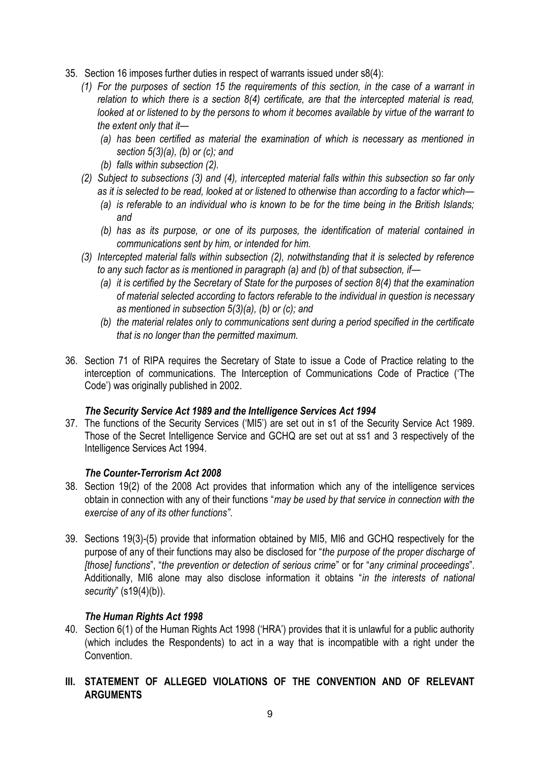- 35. Section 16 imposes further duties in respect of warrants issued under s8(4):
	- *(1) For the purposes of section 15 the requirements of this section, in the case of a warrant in relation to which there is a section 8(4) certificate, are that the intercepted material is read, looked at or listened to by the persons to whom it becomes available by virtue of the warrant to the extent only that it—*
		- *(a) has been certified as material the examination of which is necessary as mentioned in section 5(3)(a), (b) or (c); and*
		- *(b) falls within subsection (2).*
	- *(2) Subject to subsections (3) and (4), intercepted material falls within this subsection so far only as it is selected to be read, looked at or listened to otherwise than according to a factor which—*
		- *(a) is referable to an individual who is known to be for the time being in the British Islands; and*
		- *(b) has as its purpose, or one of its purposes, the identification of material contained in communications sent by him, or intended for him.*
	- *(3) Intercepted material falls within subsection (2), notwithstanding that it is selected by reference to any such factor as is mentioned in paragraph (a) and (b) of that subsection, if—*
		- *(a) it is certified by the Secretary of State for the purposes of section 8(4) that the examination of material selected according to factors referable to the individual in question is necessary as mentioned in subsection 5(3)(a), (b) or (c); and*
		- *(b) the material relates only to communications sent during a period specified in the certificate that is no longer than the permitted maximum.*
- 36. Section 71 of RIPA requires the Secretary of State to issue a Code of Practice relating to the interception of communications. The Interception of Communications Code of Practice ('The Code') was originally published in 2002.

### *The Security Service Act 1989 and the Intelligence Services Act 1994*

37. The functions of the Security Services ('MI5') are set out in s1 of the Security Service Act 1989. Those of the Secret Intelligence Service and GCHQ are set out at ss1 and 3 respectively of the Intelligence Services Act 1994.

### *The Counter-Terrorism Act 2008*

- 38. Section 19(2) of the 2008 Act provides that information which any of the intelligence services obtain in connection with any of their functions "*may be used by that service in connection with the exercise of any of its other functions"*.
- 39. Sections 19(3)-(5) provide that information obtained by MI5, MI6 and GCHQ respectively for the purpose of any of their functions may also be disclosed for "*the purpose of the proper discharge of [those] functions*", "*the prevention or detection of serious crime*" or for "*any criminal proceedings*". Additionally, MI6 alone may also disclose information it obtains "*in the interests of national security*" (s19(4)(b)).

### *The Human Rights Act 1998*

- 40. Section 6(1) of the Human Rights Act 1998 ('HRA') provides that it is unlawful for a public authority (which includes the Respondents) to act in a way that is incompatible with a right under the Convention.
- **III. STATEMENT OF ALLEGED VIOLATIONS OF THE CONVENTION AND OF RELEVANT ARGUMENTS**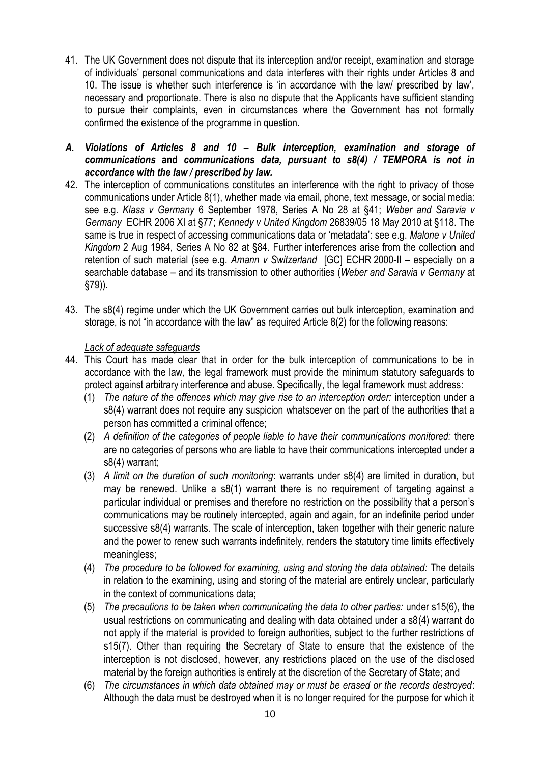- 41. The UK Government does not dispute that its interception and/or receipt, examination and storage of individuals' personal communications and data interferes with their rights under Articles 8 and 10. The issue is whether such interference is 'in accordance with the law/ prescribed by law', necessary and proportionate. There is also no dispute that the Applicants have sufficient standing to pursue their complaints, even in circumstances where the Government has not formally confirmed the existence of the programme in question.
- *A. Violations of Articles 8 and 10 – Bulk interception, examination and storage of communications* **and** *communications data, pursuant to s8(4) / TEMPORA is not in accordance with the law / prescribed by law.*
- 42. The interception of communications constitutes an interference with the right to privacy of those communications under Article 8(1), whether made via email, phone, text message, or social media: see e.g. *Klass v Germany* 6 September 1978, Series A No 28 at §41; *Weber and Saravia v Germany* ECHR 2006 XI at §77; *Kennedy v United Kingdom* 26839/05 18 May 2010 at §118. The same is true in respect of accessing communications data or 'metadata': see e.g. *Malone v United Kingdom* 2 Aug 1984, Series A No 82 at §84. Further interferences arise from the collection and retention of such material (see e.g. *Amann v Switzerland* [GC] ECHR 2000-II – especially on a searchable database – and its transmission to other authorities (*Weber and Saravia v Germany* at §79)).
- 43. The s8(4) regime under which the UK Government carries out bulk interception, examination and storage, is not "in accordance with the law" as required Article 8(2) for the following reasons:

### *Lack of adequate safeguards*

- 44. This Court has made clear that in order for the bulk interception of communications to be in accordance with the law, the legal framework must provide the minimum statutory safeguards to protect against arbitrary interference and abuse. Specifically, the legal framework must address:
	- (1) *The nature of the offences which may give rise to an interception order:* interception under a s8(4) warrant does not require any suspicion whatsoever on the part of the authorities that a person has committed a criminal offence;
	- (2) *A definition of the categories of people liable to have their communications monitored:* there are no categories of persons who are liable to have their communications intercepted under a s8(4) warrant;
	- (3) *A limit on the duration of such monitoring*: warrants under s8(4) are limited in duration, but may be renewed. Unlike a s8(1) warrant there is no requirement of targeting against a particular individual or premises and therefore no restriction on the possibility that a person's communications may be routinely intercepted, again and again, for an indefinite period under successive s8(4) warrants. The scale of interception, taken together with their generic nature and the power to renew such warrants indefinitely, renders the statutory time limits effectively meaningless;
	- (4) *The procedure to be followed for examining, using and storing the data obtained:* The details in relation to the examining, using and storing of the material are entirely unclear, particularly in the context of communications data;
	- (5) *The precautions to be taken when communicating the data to other parties:* under s15(6), the usual restrictions on communicating and dealing with data obtained under a s8(4) warrant do not apply if the material is provided to foreign authorities, subject to the further restrictions of s15(7). Other than requiring the Secretary of State to ensure that the existence of the interception is not disclosed, however, any restrictions placed on the use of the disclosed material by the foreign authorities is entirely at the discretion of the Secretary of State; and
	- (6) *The circumstances in which data obtained may or must be erased or the records destroyed*: Although the data must be destroyed when it is no longer required for the purpose for which it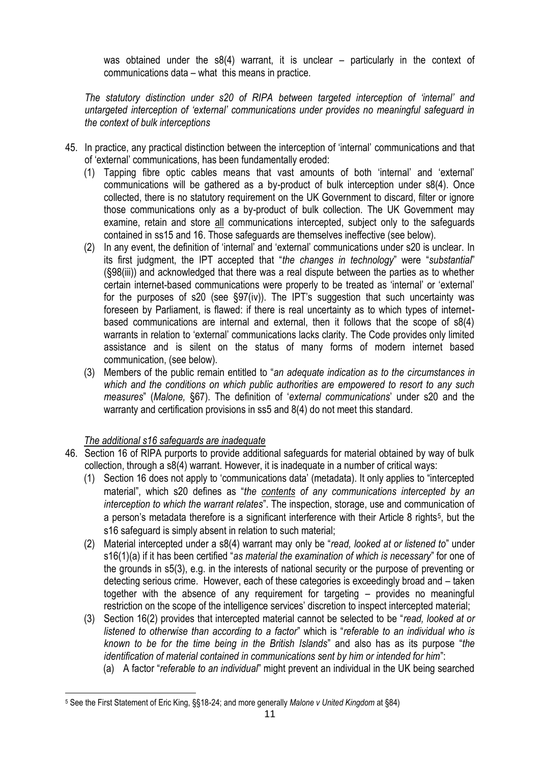was obtained under the s8(4) warrant, it is unclear – particularly in the context of communications data – what this means in practice.

*The statutory distinction under s20 of RIPA between targeted interception of 'internal' and untargeted interception of 'external' communications under provides no meaningful safeguard in the context of bulk interceptions*

- 45. In practice, any practical distinction between the interception of 'internal' communications and that of 'external' communications, has been fundamentally eroded:
	- (1) Tapping fibre optic cables means that vast amounts of both 'internal' and 'external' communications will be gathered as a by-product of bulk interception under s8(4). Once collected, there is no statutory requirement on the UK Government to discard, filter or ignore those communications only as a by-product of bulk collection. The UK Government may examine, retain and store all communications intercepted, subject only to the safeguards contained in ss15 and 16. Those safeguards are themselves ineffective (see below).
	- (2) In any event, the definition of 'internal' and 'external' communications under s20 is unclear. In its first judgment, the IPT accepted that "*the changes in technology*" were "*substantial*" (§98(iii)) and acknowledged that there was a real dispute between the parties as to whether certain internet-based communications were properly to be treated as 'internal' or 'external' for the purposes of s20 (see §97(iv)). The IPT's suggestion that such uncertainty was foreseen by Parliament, is flawed: if there is real uncertainty as to which types of internetbased communications are internal and external, then it follows that the scope of s8(4) warrants in relation to 'external' communications lacks clarity. The Code provides only limited assistance and is silent on the status of many forms of modern internet based communication, (see below).
	- (3) Members of the public remain entitled to "*an adequate indication as to the circumstances in which and the conditions on which public authorities are empowered to resort to any such measures*" (*Malone,* §67). The definition of '*external communications*' under s20 and the warranty and certification provisions in ss5 and 8(4) do not meet this standard.

### *The additional s16 safeguards are inadequate*

- 46. Section 16 of RIPA purports to provide additional safeguards for material obtained by way of bulk collection, through a s8(4) warrant. However, it is inadequate in a number of critical ways:
	- (1) Section 16 does not apply to 'communications data' (metadata). It only applies to "intercepted material", which s20 defines as "*the contents of any communications intercepted by an interception to which the warrant relates*". The inspection, storage, use and communication of a person's metadata therefore is a significant interference with their Article 8 rights<sup>5</sup>, but the s16 safeguard is simply absent in relation to such material;
	- (2) Material intercepted under a s8(4) warrant may only be "*read, looked at or listened to*" under s16(1)(a) if it has been certified "*as material the examination of which is necessary*" for one of the grounds in s5(3), e.g. in the interests of national security or the purpose of preventing or detecting serious crime. However, each of these categories is exceedingly broad and – taken together with the absence of any requirement for targeting – provides no meaningful restriction on the scope of the intelligence services' discretion to inspect intercepted material;
	- (3) Section 16(2) provides that intercepted material cannot be selected to be "*read, looked at or listened to otherwise than according to a factor*" which is "*referable to an individual who is known to be for the time being in the British Islands*" and also has as its purpose "*the identification of material contained in communications sent by him or intended for him*":
		- (a) A factor "*referable to an individual*" might prevent an individual in the UK being searched

<sup>5</sup> See the First Statement of Eric King, §§18-24; and more generally *Malone v United Kingdom* at §84)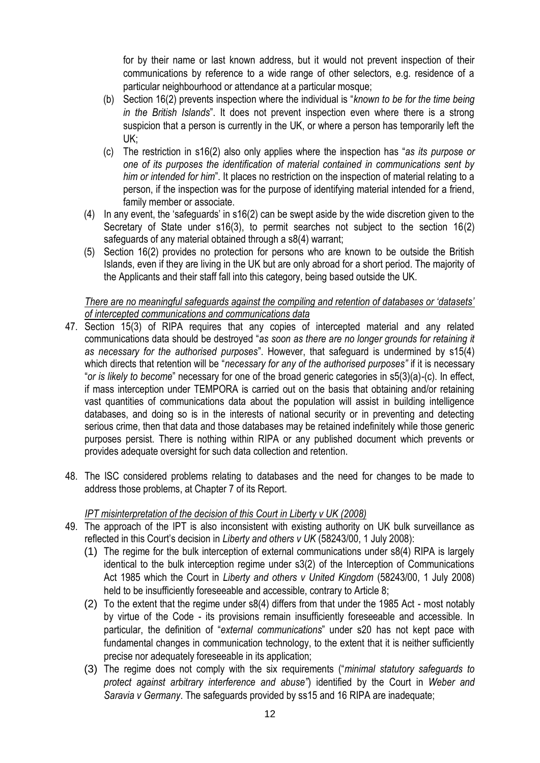for by their name or last known address, but it would not prevent inspection of their communications by reference to a wide range of other selectors, e.g. residence of a particular neighbourhood or attendance at a particular mosque;

- (b) Section 16(2) prevents inspection where the individual is "*known to be for the time being in the British Islands*". It does not prevent inspection even where there is a strong suspicion that a person is currently in the UK, or where a person has temporarily left the UK;
- (c) The restriction in s16(2) also only applies where the inspection has "*as its purpose or one of its purposes the identification of material contained in communications sent by him or intended for him*". It places no restriction on the inspection of material relating to a person, if the inspection was for the purpose of identifying material intended for a friend, family member or associate.
- (4) In any event, the 'safeguards' in s16(2) can be swept aside by the wide discretion given to the Secretary of State under s16(3), to permit searches not subject to the section 16(2) safeguards of any material obtained through a s8(4) warrant;
- (5) Section 16(2) provides no protection for persons who are known to be outside the British Islands, even if they are living in the UK but are only abroad for a short period. The majority of the Applicants and their staff fall into this category, being based outside the UK.

*There are no meaningful safeguards against the compiling and retention of databases or 'datasets' of intercepted communications and communications data* 

- 47. Section 15(3) of RIPA requires that any copies of intercepted material and any related communications data should be destroyed "*as soon as there are no longer grounds for retaining it as necessary for the authorised purposes*". However, that safeguard is undermined by s15(4) which directs that retention will be "*necessary for any of the authorised purposes"* if it is necessary "*or is likely to become*" necessary for one of the broad generic categories in s5(3)(a)-(c). In effect, if mass interception under TEMPORA is carried out on the basis that obtaining and/or retaining vast quantities of communications data about the population will assist in building intelligence databases, and doing so is in the interests of national security or in preventing and detecting serious crime, then that data and those databases may be retained indefinitely while those generic purposes persist. There is nothing within RIPA or any published document which prevents or provides adequate oversight for such data collection and retention.
- 48. The ISC considered problems relating to databases and the need for changes to be made to address those problems, at Chapter 7 of its Report.

### *IPT misinterpretation of the decision of this Court in Liberty v UK (2008)*

- 49. The approach of the IPT is also inconsistent with existing authority on UK bulk surveillance as reflected in this Court's decision in *Liberty and others v UK* (58243/00, 1 July 2008):
	- (1) The regime for the bulk interception of external communications under s8(4) RIPA is largely identical to the bulk interception regime under s3(2) of the Interception of Communications Act 1985 which the Court in *Liberty and others v United Kingdom* (58243/00, 1 July 2008) held to be insufficiently foreseeable and accessible, contrary to Article 8;
	- (2) To the extent that the regime under s8(4) differs from that under the 1985 Act most notably by virtue of the Code - its provisions remain insufficiently foreseeable and accessible. In particular, the definition of "*external communications*" under s20 has not kept pace with fundamental changes in communication technology, to the extent that it is neither sufficiently precise nor adequately foreseeable in its application;
	- (3) The regime does not comply with the six requirements ("*minimal statutory safeguards to protect against arbitrary interference and abuse"*) identified by the Court in *Weber and Saravia v Germany*. The safeguards provided by ss15 and 16 RIPA are inadequate;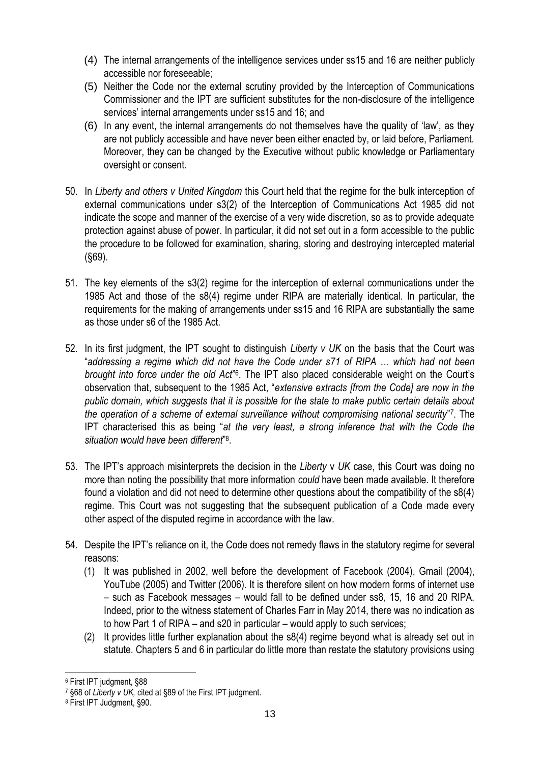- (4) The internal arrangements of the intelligence services under ss15 and 16 are neither publicly accessible nor foreseeable;
- (5) Neither the Code nor the external scrutiny provided by the Interception of Communications Commissioner and the IPT are sufficient substitutes for the non-disclosure of the intelligence services' internal arrangements under ss15 and 16; and
- (6) In any event, the internal arrangements do not themselves have the quality of 'law', as they are not publicly accessible and have never been either enacted by, or laid before, Parliament. Moreover, they can be changed by the Executive without public knowledge or Parliamentary oversight or consent.
- 50. In *Liberty and others v United Kingdom* this Court held that the regime for the bulk interception of external communications under s3(2) of the Interception of Communications Act 1985 did not indicate the scope and manner of the exercise of a very wide discretion, so as to provide adequate protection against abuse of power. In particular, it did not set out in a form accessible to the public the procedure to be followed for examination, sharing, storing and destroying intercepted material (§69).
- 51. The key elements of the s3(2) regime for the interception of external communications under the 1985 Act and those of the s8(4) regime under RIPA are materially identical. In particular, the requirements for the making of arrangements under ss15 and 16 RIPA are substantially the same as those under s6 of the 1985 Act.
- 52. In its first judgment, the IPT sought to distinguish *Liberty v UK* on the basis that the Court was "*addressing a regime which did not have the Code under s71 of RIPA … which had not been brought into force under the old Act*" 6 . The IPT also placed considerable weight on the Court's observation that, subsequent to the 1985 Act, "*extensive extracts [from the Code] are now in the public domain, which suggests that it is possible for the state to make public certain details about the operation of a scheme of external surveillance without compromising national security*" *7* . The IPT characterised this as being "*at the very least, a strong inference that with the Code the situation would have been different*" 8 .
- 53. The IPT's approach misinterprets the decision in the *Liberty* v *UK* case, this Court was doing no more than noting the possibility that more information *could* have been made available. It therefore found a violation and did not need to determine other questions about the compatibility of the s8(4) regime. This Court was not suggesting that the subsequent publication of a Code made every other aspect of the disputed regime in accordance with the law.
- 54. Despite the IPT's reliance on it, the Code does not remedy flaws in the statutory regime for several reasons:
	- (1) It was published in 2002, well before the development of Facebook (2004), Gmail (2004), YouTube (2005) and Twitter (2006). It is therefore silent on how modern forms of internet use – such as Facebook messages – would fall to be defined under ss8, 15, 16 and 20 RIPA. Indeed, prior to the witness statement of Charles Farr in May 2014, there was no indication as to how Part 1 of RIPA – and s20 in particular – would apply to such services;
	- (2) It provides little further explanation about the s8(4) regime beyond what is already set out in statute. Chapters 5 and 6 in particular do little more than restate the statutory provisions using

<sup>6</sup> First IPT judgment, §88

<sup>7</sup> §68 of *Liberty v UK, c*ited at §89 of the First IPT judgment.

<sup>8</sup> First IPT Judgment, §90.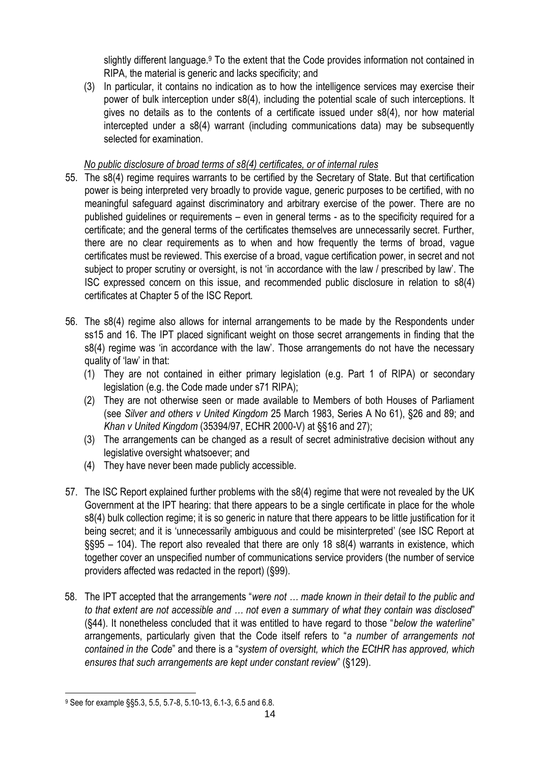slightly different language.<sup>9</sup> To the extent that the Code provides information not contained in RIPA, the material is generic and lacks specificity; and

(3) In particular, it contains no indication as to how the intelligence services may exercise their power of bulk interception under s8(4), including the potential scale of such interceptions. It gives no details as to the contents of a certificate issued under s8(4), nor how material intercepted under a s8(4) warrant (including communications data) may be subsequently selected for examination.

### *No public disclosure of broad terms of s8(4) certificates, or of internal rules*

- 55. The s8(4) regime requires warrants to be certified by the Secretary of State. But that certification power is being interpreted very broadly to provide vague, generic purposes to be certified, with no meaningful safeguard against discriminatory and arbitrary exercise of the power. There are no published guidelines or requirements – even in general terms - as to the specificity required for a certificate; and the general terms of the certificates themselves are unnecessarily secret. Further, there are no clear requirements as to when and how frequently the terms of broad, vague certificates must be reviewed. This exercise of a broad, vague certification power, in secret and not subject to proper scrutiny or oversight, is not 'in accordance with the law / prescribed by law'. The ISC expressed concern on this issue, and recommended public disclosure in relation to s8(4) certificates at Chapter 5 of the ISC Report.
- 56. The s8(4) regime also allows for internal arrangements to be made by the Respondents under ss15 and 16. The IPT placed significant weight on those secret arrangements in finding that the s8(4) regime was 'in accordance with the law'. Those arrangements do not have the necessary quality of 'law' in that:
	- (1) They are not contained in either primary legislation (e.g. Part 1 of RIPA) or secondary legislation (e.g. the Code made under s71 RIPA);
	- (2) They are not otherwise seen or made available to Members of both Houses of Parliament (see *Silver and others v United Kingdom* 25 March 1983, Series A No 61), §26 and 89; and *Khan v United Kingdom* (35394/97, ECHR 2000-V) at §§16 and 27);
	- (3) The arrangements can be changed as a result of secret administrative decision without any legislative oversight whatsoever; and
	- (4) They have never been made publicly accessible.
- 57. The ISC Report explained further problems with the s8(4) regime that were not revealed by the UK Government at the IPT hearing: that there appears to be a single certificate in place for the whole s8(4) bulk collection regime; it is so generic in nature that there appears to be little justification for it being secret; and it is 'unnecessarily ambiguous and could be misinterpreted' (see ISC Report at §§95 – 104). The report also revealed that there are only 18 s8(4) warrants in existence, which together cover an unspecified number of communications service providers (the number of service providers affected was redacted in the report) (§99).
- 58. The IPT accepted that the arrangements "*were not … made known in their detail to the public and to that extent are not accessible and … not even a summary of what they contain was disclosed*" (§44). It nonetheless concluded that it was entitled to have regard to those "*below the waterline*" arrangements, particularly given that the Code itself refers to "*a number of arrangements not contained in the Code*" and there is a "*system of oversight, which the ECtHR has approved, which ensures that such arrangements are kept under constant review*" (§129).

<sup>-</sup><sup>9</sup> See for example §§5.3, 5.5, 5.7-8, 5.10-13, 6.1-3, 6.5 and 6.8.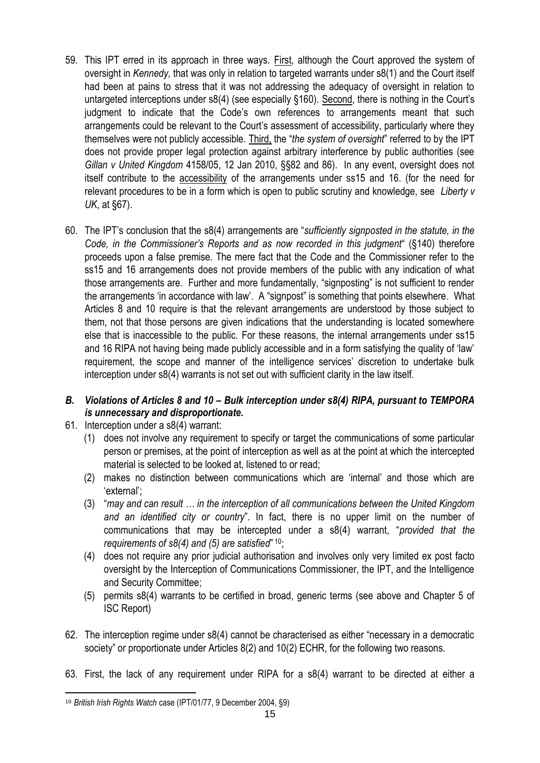- 59. This IPT erred in its approach in three ways. First, although the Court approved the system of oversight in *Kennedy,* that was only in relation to targeted warrants under s8(1) and the Court itself had been at pains to stress that it was not addressing the adequacy of oversight in relation to untargeted interceptions under s8(4) (see especially §160). Second, there is nothing in the Court's judgment to indicate that the Code's own references to arrangements meant that such arrangements could be relevant to the Court's assessment of accessibility, particularly where they themselves were not publicly accessible. Third, the "*the system of oversight*" referred to by the IPT does not provide proper legal protection against arbitrary interference by public authorities (see *Gillan v United Kingdom* 4158/05, 12 Jan 2010, §§82 and 86). In any event, oversight does not itself contribute to the accessibility of the arrangements under ss15 and 16. (for the need for relevant procedures to be in a form which is open to public scrutiny and knowledge, see *Liberty v UK*, at §67).
- 60. The IPT's conclusion that the s8(4) arrangements are "*sufficiently signposted in the statute, in the Code, in the Commissioner's Reports and as now recorded in this judgment*" (§140) therefore proceeds upon a false premise. The mere fact that the Code and the Commissioner refer to the ss15 and 16 arrangements does not provide members of the public with any indication of what those arrangements are. Further and more fundamentally, "signposting" is not sufficient to render the arrangements 'in accordance with law'. A "signpost" is something that points elsewhere. What Articles 8 and 10 require is that the relevant arrangements are understood by those subject to them, not that those persons are given indications that the understanding is located somewhere else that is inaccessible to the public. For these reasons, the internal arrangements under ss15 and 16 RIPA not having being made publicly accessible and in a form satisfying the quality of 'law' requirement, the scope and manner of the intelligence services' discretion to undertake bulk interception under s8(4) warrants is not set out with sufficient clarity in the law itself.

### *B. Violations of Articles 8 and 10 – Bulk interception under s8(4) RIPA, pursuant to TEMPORA is unnecessary and disproportionate.*

- 61. Interception under a s8(4) warrant:
	- (1) does not involve any requirement to specify or target the communications of some particular person or premises, at the point of interception as well as at the point at which the intercepted material is selected to be looked at, listened to or read;
	- (2) makes no distinction between communications which are 'internal' and those which are 'external';
	- (3) "*may and can result … in the interception of all communications between the United Kingdom and an identified city or country*". In fact, there is no upper limit on the number of communications that may be intercepted under a s8(4) warrant, "*provided that the requirements of s8(4) and (5) are satisfied*" 10;
	- (4) does not require any prior judicial authorisation and involves only very limited ex post facto oversight by the Interception of Communications Commissioner, the IPT, and the Intelligence and Security Committee;
	- (5) permits s8(4) warrants to be certified in broad, generic terms (see above and Chapter 5 of ISC Report)
- 62. The interception regime under s8(4) cannot be characterised as either "necessary in a democratic society" or proportionate under Articles 8(2) and 10(2) ECHR, for the following two reasons.
- 63. First, the lack of any requirement under RIPA for a s8(4) warrant to be directed at either a

<sup>10</sup> *British Irish Rights Watch* case (IPT/01/77, 9 December 2004, §9)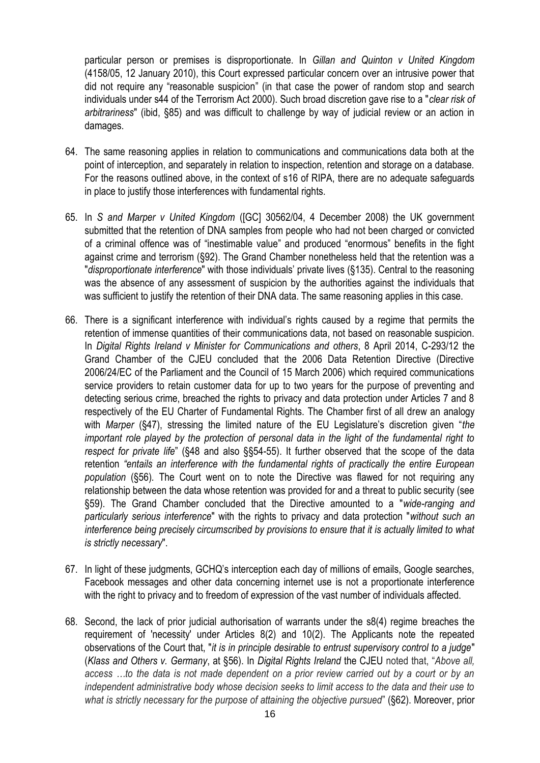particular person or premises is disproportionate. In *Gillan and Quinton v United Kingdom* (4158/05, 12 January 2010), this Court expressed particular concern over an intrusive power that did not require any "reasonable suspicion" (in that case the power of random stop and search individuals under s44 of the Terrorism Act 2000). Such broad discretion gave rise to a "*clear risk of arbitrariness*" (ibid, §85) and was difficult to challenge by way of judicial review or an action in damages.

- 64. The same reasoning applies in relation to communications and communications data both at the point of interception, and separately in relation to inspection, retention and storage on a database. For the reasons outlined above, in the context of s16 of RIPA, there are no adequate safeguards in place to justify those interferences with fundamental rights.
- 65. In *S and Marper v United Kingdom* ([GC] 30562/04, 4 December 2008) the UK government submitted that the retention of DNA samples from people who had not been charged or convicted of a criminal offence was of "inestimable value" and produced "enormous" benefits in the fight against crime and terrorism (§92). The Grand Chamber nonetheless held that the retention was a "*disproportionate interference*" with those individuals' private lives (§135). Central to the reasoning was the absence of any assessment of suspicion by the authorities against the individuals that was sufficient to justify the retention of their DNA data. The same reasoning applies in this case.
- 66. There is a significant interference with individual's rights caused by a regime that permits the retention of immense quantities of their communications data, not based on reasonable suspicion. In *Digital Rights Ireland v Minister for Communications and others*, 8 April 2014, C-293/12 the Grand Chamber of the CJEU concluded that the 2006 Data Retention Directive (Directive 2006/24/EC of the Parliament and the Council of 15 March 2006) which required communications service providers to retain customer data for up to two years for the purpose of preventing and detecting serious crime, breached the rights to privacy and data protection under Articles 7 and 8 respectively of the EU Charter of Fundamental Rights. The Chamber first of all drew an analogy with *Marper* (§47), stressing the limited nature of the EU Legislature's discretion given "*the important role played by the protection of personal data in the light of the fundamental right to respect for private life*" (§48 and also §§54-55). It further observed that the scope of the data retention *"entails an interference with the fundamental rights of practically the entire European population* (§56)*.* The Court went on to note the Directive was flawed for not requiring any relationship between the data whose retention was provided for and a threat to public security (see §59). The Grand Chamber concluded that the Directive amounted to a "*wide-ranging and particularly serious interference*" with the rights to privacy and data protection "*without such an interference being precisely circumscribed by provisions to ensure that it is actually limited to what is strictly necessary*".
- 67. In light of these judgments, GCHQ's interception each day of millions of emails, Google searches, Facebook messages and other data concerning internet use is not a proportionate interference with the right to privacy and to freedom of expression of the vast number of individuals affected.
- 68. Second, the lack of prior judicial authorisation of warrants under the s8(4) regime breaches the requirement of 'necessity' under Articles 8(2) and 10(2). The Applicants note the repeated observations of the Court that, "*it is in principle desirable to entrust supervisory control to a judge*" (*Klass and Others v. Germany*, at §56). In *Digital Rights Ireland* the CJEU noted that, "*Above all, access …to the data is not made dependent on a prior review carried out by a court or by an independent administrative body whose decision seeks to limit access to the data and their use to what is strictly necessary for the purpose of attaining the objective pursued*" (§62). Moreover, prior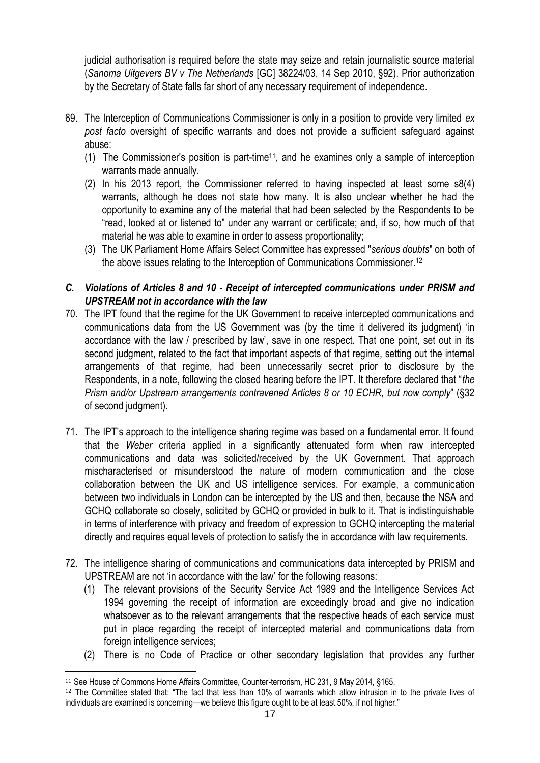judicial authorisation is required before the state may seize and retain journalistic source material (*Sanoma Uitgevers BV v The Netherlands* [GC] 38224/03, 14 Sep 2010, §92). Prior authorization by the Secretary of State falls far short of any necessary requirement of independence.

- 69. The Interception of Communications Commissioner is only in a position to provide very limited *ex post facto* oversight of specific warrants and does not provide a sufficient safeguard against abuse:
	- (1) The Commissioner's position is part-time11, and he examines only a sample of interception warrants made annually.
	- (2) In his 2013 report, the Commissioner referred to having inspected at least some s8(4) warrants, although he does not state how many. It is also unclear whether he had the opportunity to examine any of the material that had been selected by the Respondents to be "read, looked at or listened to" under any warrant or certificate; and, if so, how much of that material he was able to examine in order to assess proportionality;
	- (3) The UK Parliament Home Affairs Select Committee has expressed "*serious doubts*" on both of the above issues relating to the Interception of Communications Commissioner.<sup>12</sup>
- *C. Violations of Articles 8 and 10 - Receipt of intercepted communications under PRISM and UPSTREAM not in accordance with the law*
- 70. The IPT found that the regime for the UK Government to receive intercepted communications and communications data from the US Government was (by the time it delivered its judgment) 'in accordance with the law / prescribed by law', save in one respect. That one point, set out in its second judgment, related to the fact that important aspects of that regime, setting out the internal arrangements of that regime, had been unnecessarily secret prior to disclosure by the Respondents, in a note, following the closed hearing before the IPT. It therefore declared that "*the Prism and/or Upstream arrangements contravened Articles 8 or 10 ECHR, but now comply*" (§32 of second judgment).
- 71. The IPT's approach to the intelligence sharing regime was based on a fundamental error. It found that the *Weber* criteria applied in a significantly attenuated form when raw intercepted communications and data was solicited/received by the UK Government. That approach mischaracterised or misunderstood the nature of modern communication and the close collaboration between the UK and US intelligence services. For example, a communication between two individuals in London can be intercepted by the US and then, because the NSA and GCHQ collaborate so closely, solicited by GCHQ or provided in bulk to it. That is indistinguishable in terms of interference with privacy and freedom of expression to GCHQ intercepting the material directly and requires equal levels of protection to satisfy the in accordance with law requirements.
- 72. The intelligence sharing of communications and communications data intercepted by PRISM and UPSTREAM are not 'in accordance with the law' for the following reasons:
	- (1) The relevant provisions of the Security Service Act 1989 and the Intelligence Services Act 1994 governing the receipt of information are exceedingly broad and give no indication whatsoever as to the relevant arrangements that the respective heads of each service must put in place regarding the receipt of intercepted material and communications data from foreign intelligence services;
	- (2) There is no Code of Practice or other secondary legislation that provides any further

 $\overline{a}$ 

<sup>11</sup> See House of Commons Home Affairs Committee, Counter-terrorism, HC 231, 9 May 2014, §165.

<sup>&</sup>lt;sup>12</sup> The Committee stated that: "The fact that less than 10% of warrants which allow intrusion in to the private lives of individuals are examined is concerning—we believe this figure ought to be at least 50%, if not higher."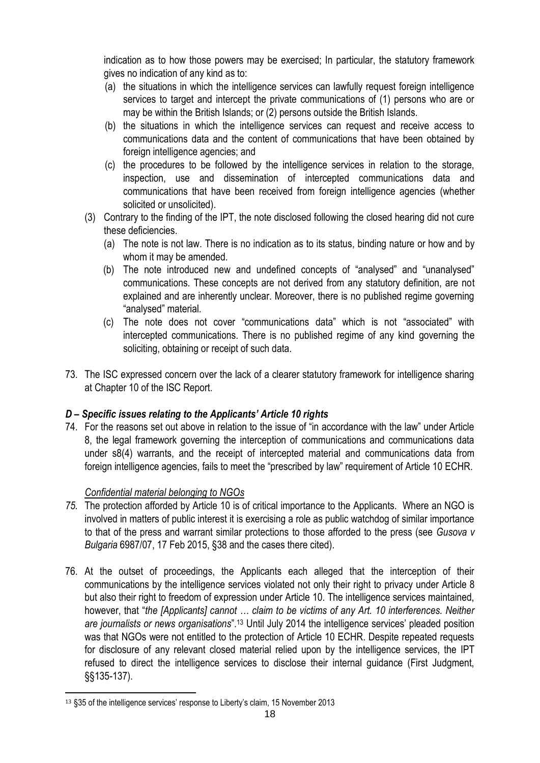indication as to how those powers may be exercised; In particular, the statutory framework gives no indication of any kind as to:

- (a) the situations in which the intelligence services can lawfully request foreign intelligence services to target and intercept the private communications of (1) persons who are or may be within the British Islands; or (2) persons outside the British Islands.
- (b) the situations in which the intelligence services can request and receive access to communications data and the content of communications that have been obtained by foreign intelligence agencies; and
- (c) the procedures to be followed by the intelligence services in relation to the storage, inspection, use and dissemination of intercepted communications data and communications that have been received from foreign intelligence agencies (whether solicited or unsolicited).
- (3) Contrary to the finding of the IPT, the note disclosed following the closed hearing did not cure these deficiencies.
	- (a) The note is not law. There is no indication as to its status, binding nature or how and by whom it may be amended.
	- (b) The note introduced new and undefined concepts of "analysed" and "unanalysed" communications. These concepts are not derived from any statutory definition, are not explained and are inherently unclear. Moreover, there is no published regime governing "analysed" material.
	- (c) The note does not cover "communications data" which is not "associated" with intercepted communications. There is no published regime of any kind governing the soliciting, obtaining or receipt of such data.
- 73. The ISC expressed concern over the lack of a clearer statutory framework for intelligence sharing at Chapter 10 of the ISC Report.

# *D – Specific issues relating to the Applicants' Article 10 rights*

74. For the reasons set out above in relation to the issue of "in accordance with the law" under Article 8, the legal framework governing the interception of communications and communications data under s8(4) warrants, and the receipt of intercepted material and communications data from foreign intelligence agencies, fails to meet the "prescribed by law" requirement of Article 10 ECHR.

# *Confidential material belonging to NGOs*

- *75.* The protection afforded by Article 10 is of critical importance to the Applicants. Where an NGO is involved in matters of public interest it is exercising a role as public watchdog of similar importance to that of the press and warrant similar protections to those afforded to the press (see *Gusova v Bulgaria* 6987/07, 17 Feb 2015, §38 and the cases there cited).
- 76. At the outset of proceedings, the Applicants each alleged that the interception of their communications by the intelligence services violated not only their right to privacy under Article 8 but also their right to freedom of expression under Article 10. The intelligence services maintained, however, that "*the [Applicants] cannot … claim to be victims of any Art. 10 interferences. Neither are journalists or news organisations*".<sup>13</sup> Until July 2014 the intelligence services' pleaded position was that NGOs were not entitled to the protection of Article 10 ECHR. Despite repeated requests for disclosure of any relevant closed material relied upon by the intelligence services, the IPT refused to direct the intelligence services to disclose their internal guidance (First Judgment, §§135-137).

<sup>13</sup> §35 of the intelligence services' response to Liberty's claim, 15 November 2013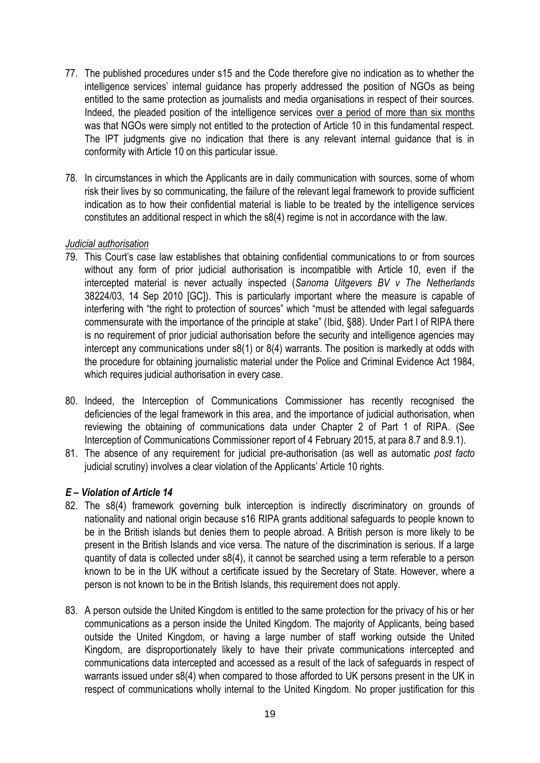- 77. The published procedures under s15 and the Code therefore give no indication as to whether the intelligence services' internal guidance has properly addressed the position of NGOs as being entitled to the same protection as journalists and media organisations in respect of their sources. Indeed, the pleaded position of the intelligence services over a period of more than six months was that NGOs were simply not entitled to the protection of Article 10 in this fundamental respect. The IPT judgments give no indication that there is any relevant internal guidance that is in conformity with Article 10 on this particular issue.
- 78. In circumstances in which the Applicants are in daily communication with sources, some of whom risk their lives by so communicating, the failure of the relevant legal framework to provide sufficient indication as to how their confidential material is liable to be treated by the intelligence services constitutes an additional respect in which the s8(4) regime is not in accordance with the law.

### *Judicial authorisation*

- 79. This Court's case law establishes that obtaining confidential communications to or from sources without any form of prior judicial authorisation is incompatible with Article 10, even if the intercepted material is never actually inspected (*Sanoma Uitgevers BV v The Netherlands* 38224/03, 14 Sep 2010 [GC]). This is particularly important where the measure is capable of interfering with "the right to protection of sources" which "must be attended with legal safeguards commensurate with the importance of the principle at stake" (Ibid, §88). Under Part I of RIPA there is no requirement of prior judicial authorisation before the security and intelligence agencies may intercept any communications under s8(1) or 8(4) warrants. The position is markedly at odds with the procedure for obtaining journalistic material under the Police and Criminal Evidence Act 1984, which requires judicial authorisation in every case.
- 80. Indeed, the Interception of Communications Commissioner has recently recognised the deficiencies of the legal framework in this area, and the importance of judicial authorisation, when reviewing the obtaining of communications data under Chapter 2 of Part 1 of RIPA. (See Interception of Communications Commissioner report of 4 February 2015, at para 8.7 and 8.9.1).
- 81. The absence of any requirement for judicial pre-authorisation (as well as automatic *post facto* judicial scrutiny) involves a clear violation of the Applicants' Article 10 rights.

### *E – Violation of Article 14*

- 82. The s8(4) framework governing bulk interception is indirectly discriminatory on grounds of nationality and national origin because s16 RIPA grants additional safeguards to people known to be in the British islands but denies them to people abroad. A British person is more likely to be present in the British Islands and vice versa. The nature of the discrimination is serious. If a large quantity of data is collected under s8(4), it cannot be searched using a term referable to a person known to be in the UK without a certificate issued by the Secretary of State. However, where a person is not known to be in the British Islands, this requirement does not apply.
- 83. A person outside the United Kingdom is entitled to the same protection for the privacy of his or her communications as a person inside the United Kingdom. The majority of Applicants, being based outside the United Kingdom, or having a large number of staff working outside the United Kingdom, are disproportionately likely to have their private communications intercepted and communications data intercepted and accessed as a result of the lack of safeguards in respect of warrants issued under s8(4) when compared to those afforded to UK persons present in the UK in respect of communications wholly internal to the United Kingdom. No proper justification for this